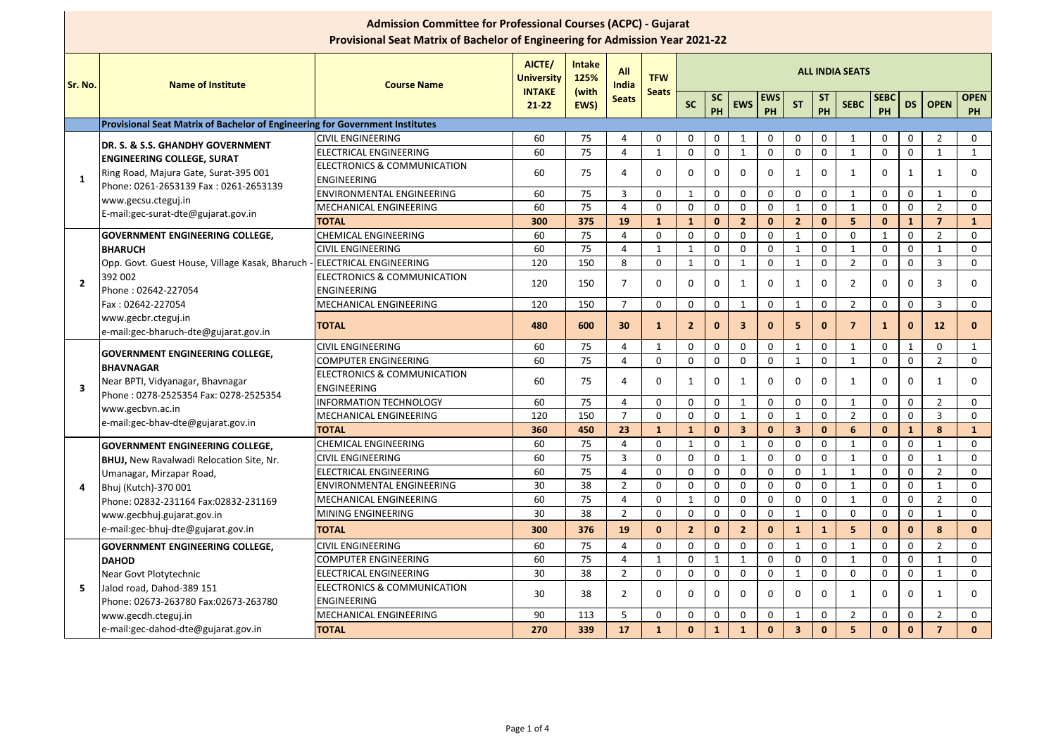|                | <b>Admission Committee for Professional Courses (ACPC) - Gujarat</b><br><b>Provisional Seat Matrix of Bachelor of Engineering for Admission Year 2021-22</b> |                                                              |                                    |                       |                     |                |                        |                 |                |              |                |                  |                 |                   |              |                         |                          |
|----------------|--------------------------------------------------------------------------------------------------------------------------------------------------------------|--------------------------------------------------------------|------------------------------------|-----------------------|---------------------|----------------|------------------------|-----------------|----------------|--------------|----------------|------------------|-----------------|-------------------|--------------|-------------------------|--------------------------|
| <b>Sr. No.</b> | <b>Name of Institute</b>                                                                                                                                     | <b>Course Name</b>                                           | <b>AICTE/</b><br><b>University</b> | <b>Intake</b><br>125% | <b>All</b><br>India | <b>TFW</b>     | <b>ALL INDIA SEATS</b> |                 |                |              |                |                  |                 |                   |              |                         |                          |
|                |                                                                                                                                                              |                                                              | <b>INTAKE</b><br>$21 - 22$         | (with<br>EWS)         | <b>Seats</b>        | <b>Seats</b>   | <b>SC</b>              | <b>SC</b><br>PH | <b>EWS</b>     | EWS<br>PH    | <b>ST</b>      | <b>ST</b><br>PH  | <b>SEBC</b>     | <b>SEBC</b><br>PH |              | DS   OPEN               | <b>OPEN</b><br><b>PH</b> |
|                | Provisional Seat Matrix of Bachelor of Engineering for Government Institutes                                                                                 |                                                              |                                    |                       |                     |                |                        |                 |                |              |                |                  |                 |                   |              |                         |                          |
|                | DR. S. & S.S. GHANDHY GOVERNMENT                                                                                                                             | <b>CIVIL ENGINEERING</b>                                     | 60                                 | 75                    | 4                   | $\mathbf 0$    | 0                      | $\mathbf 0$     | 1              | $\mathbf 0$  | $\mathbf 0$    | $\boldsymbol{0}$ |                 | $\mathbf 0$       | $\mathbf 0$  | $\overline{2}$          | $\mathbf 0$              |
|                | <b>ENGINEERING COLLEGE, SURAT</b>                                                                                                                            | <b>ELECTRICAL ENGINEERING</b>                                | 60                                 | 75                    | 4                   | 1              | $\mathbf 0$            | $\mathbf 0$     |                | $\mathbf 0$  | $\overline{0}$ | $\mathbf 0$      | $\mathbf 1$     | $\mathbf 0$       | $\mathbf 0$  | $\mathbf{1}$            | $\mathbf{1}$             |
|                | Ring Road, Majura Gate, Surat-395 001                                                                                                                        | <b>ELECTRONICS &amp; COMMUNICATION</b>                       | 60                                 | 75                    | 4                   | $\mathbf{0}$   | $\Omega$               | 0               | $\mathbf{0}$   | $\mathbf 0$  |                | $\mathbf 0$      | -1              | $\Omega$          | $\mathbf{1}$ | -1                      | $\mathbf{0}$             |
| $\mathbf 1$    | Phone: 0261-2653139 Fax: 0261-2653139                                                                                                                        | <b>ENGINEERING</b>                                           |                                    |                       |                     |                |                        |                 |                |              |                |                  |                 |                   |              |                         |                          |
|                | www.gecsu.cteguj.in                                                                                                                                          | <b>ENVIRONMENTAL ENGINEERING</b>                             | 60                                 | 75                    | $\overline{3}$      | $\overline{0}$ | $\mathbf 1$            | $\mathbf{0}$    | $\mathbf{0}$   | $\mathbf 0$  | $\mathbf{0}$   | $\mathbf 0$      | -1              | $\mathbf{0}$      | $\mathbf 0$  | -1                      | $\mathbf{0}$             |
|                | E-mail:gec-surat-dte@gujarat.gov.in                                                                                                                          | MECHANICAL ENGINEERING                                       | 60                                 | 75                    | 4                   | $\mathbf{0}$   | $\Omega$               | $\Omega$        | $\mathbf 0$    | $\mathbf 0$  |                | $\mathbf 0$      |                 | $\mathbf{0}$      | $\mathbf 0$  | $\overline{2}$          | $\mathbf 0$              |
|                |                                                                                                                                                              | <b>TOTAL</b>                                                 | 300                                | 375                   | 19                  | 1              | $\mathbf{1}$           | $\mathbf 0$     | $\overline{2}$ | $\mathbf{0}$ | $\overline{2}$ | $\bf{0}$         | 5               | $\mathbf{0}$      | $\mathbf{1}$ | $\overline{\mathbf{z}}$ | $\mathbf{1}$             |
|                | <b>GOVERNMENT ENGINEERING COLLEGE,</b>                                                                                                                       | <b>CHEMICAL ENGINEERING</b>                                  | 60                                 | 75                    | 4                   | $\overline{0}$ | $\mathbf 0$            | $\mathbf 0$     | $\mathbf{0}$   | $\mathbf 0$  | $\mathbf 1$    | $\mathbf 0$      | $\mathbf 0$     |                   | $\mathbf 0$  | $\overline{2}$          | $\mathbf 0$              |
| $\overline{2}$ | <b>BHARUCH</b>                                                                                                                                               | <b>CIVIL ENGINEERING</b>                                     | 60                                 | 75                    | 4                   | 1              | $\mathbf 1$            | $\mathbf{0}$    | $\Omega$       | $\mathbf 0$  |                | $\mathbf 0$      | -1              | $\mathbf{0}$      | $\mathbf 0$  | $\mathbf 1$             | $\mathbf{0}$             |
|                | Opp. Govt. Guest House, Village Kasak, Bharuch - ELECTRICAL ENGINEERING                                                                                      |                                                              | 120                                | 150                   | 8                   | $\mathbf{0}$   | $\mathbf 1$            | $\mathbf{0}$    | -1             | $\mathbf 0$  | $\mathbf{1}$   | $\overline{0}$   | $\overline{2}$  | $\mathbf{0}$      | $\mathbf 0$  | 3                       | $\mathbf{0}$             |
|                | 392 002<br>Phone: 02642-227054                                                                                                                               | <b>ELECTRONICS &amp; COMMUNICATION</b><br><b>ENGINEERING</b> | 120                                | 150                   | 7                   | $\mathbf{0}$   | $\Omega$               | $\Omega$        | -1             | $\mathbf 0$  | $\mathbf{1}$   | $\mathbf{0}$     | 2               | $\mathbf{0}$      | $\mathbf 0$  | 3                       | $\Omega$                 |
|                | Fax: 02642-227054                                                                                                                                            | MECHANICAL ENGINEERING                                       | 120                                | 150                   | $\overline{7}$      | $\overline{0}$ | $\mathbf 0$            | $\mathbf 0$     | 1              | 0            | $\mathbf{1}$   | $\mathbf 0$      | $\overline{2}$  | $\mathbf 0$       | $\mathbf 0$  | 3                       | $\mathbf 0$              |
|                | www.gecbr.cteguj.in<br>e-mail:gec-bharuch-dte@gujarat.gov.in                                                                                                 | <b>TOTAL</b>                                                 | 480                                | 600                   | 30 <sup>°</sup>     | $\mathbf{1}$   | $\overline{2}$         | $\mathbf{0}$    | $\mathbf{3}$   | $\mathbf{0}$ | 5 <sup>5</sup> | $\bf{0}$         | -7              | $\mathbf{1}$      | $\mathbf{0}$ | 12                      | $\mathbf{0}$             |
|                |                                                                                                                                                              | <b>CIVIL ENGINEERING</b>                                     | 60                                 | 75                    | 4                   | $\mathbf{1}$   | $\mathbf 0$            | $\mathbf 0$     | $\mathbf{0}$   | $\mathbf{0}$ | $\mathbf{1}$   | $\mathbf 0$      | -1              | $\mathbf 0$       | $\mathbf{1}$ | $\mathbf 0$             | $\mathbf{1}$             |
|                | <b>GOVERNMENT ENGINEERING COLLEGE,</b><br><b>BHAVNAGAR</b>                                                                                                   | <b>COMPUTER ENGINEERING</b>                                  | 60                                 | 75                    | 4                   | $\mathbf{0}$   | $\overline{0}$         | $\mathbf 0$     | $\mathbf{0}$   | $\mathbf 0$  |                | $\mathbf{0}$     | -1              | $\mathbf{0}$      | $\mathbf 0$  | $\overline{2}$          | $\mathbf 0$              |
| 3              | Near BPTI, Vidyanagar, Bhavnagar                                                                                                                             | <b>ELECTRONICS &amp; COMMUNICATION</b><br><b>ENGINEERING</b> | 60                                 | 75                    | 4                   | $\mathbf{0}$   | -1                     | $\Omega$        | -1             | 0            | 0              | $\mathbf{0}$     |                 | $\mathbf{0}$      | $\mathbf 0$  | -1                      | 0                        |
|                | Phone: 0278-2525354 Fax: 0278-2525354                                                                                                                        | <b>INFORMATION TECHNOLOGY</b>                                | 60                                 | 75                    | 4                   | $\mathbf{0}$   | $\mathbf 0$            | $\mathbf 0$     | $\mathbf{1}$   | $\mathbf 0$  | 0              | $\mathbf 0$      | -1              | $\mathbf{0}$      | $\mathbf 0$  | $\overline{2}$          | $\mathbf{0}$             |
|                | www.gecbvn.ac.in                                                                                                                                             | MECHANICAL ENGINEERING                                       | 120                                | 150                   | $\overline{7}$      | $\mathbf{0}$   | $\mathbf 0$            | $\mathbf 0$     | -1             | $\mathbf{0}$ | $\mathbf{1}$   | $\mathbf 0$      | $\overline{2}$  | $\mathbf 0$       | $\mathbf 0$  | $\overline{3}$          | $\mathbf 0$              |
|                | e-mail:gec-bhav-dte@gujarat.gov.in                                                                                                                           | <b>TOTAL</b>                                                 | 360                                | 450                   | 23                  | $\mathbf{1}$   | $\mathbf 1$            | $\mathbf{0}$    | $\mathbf{3}$   | $\mathbf{0}$ | 3              |                  | $6\phantom{1}6$ | $\mathbf{0}$      | $\mathbf{1}$ | 8                       | $\mathbf{1}$             |
|                | <b>GOVERNMENT ENGINEERING COLLEGE,</b>                                                                                                                       | <b>CHEMICAL ENGINEERING</b>                                  | 60                                 | 75                    | 4                   | $\mathbf 0$    | $\mathbf 1$            | $\mathbf 0$     | -1             | $\mathbf 0$  | $\overline{0}$ | $\overline{0}$   | $\mathbf{1}$    | $\mathbf{0}$      | $\mathbf 0$  | -1                      | $\mathbf{0}$             |
|                | <b>BHUJ, New Ravalwadi Relocation Site, Nr.</b>                                                                                                              | <b>CIVIL ENGINEERING</b>                                     | 60                                 | 75                    | 3                   | $\mathbf{0}$   | $\mathbf 0$            | $\Omega$        |                | $\mathbf 0$  | $\mathbf{0}$   | $\mathbf 0$      | -1              | $\mathbf{0}$      | $\mathbf 0$  | -1                      | $\mathbf 0$              |
|                | Umanagar, Mirzapar Road,                                                                                                                                     | <b>ELECTRICAL ENGINEERING</b>                                | 60                                 | 75                    | 4                   | $\mathbf 0$    | $\mathbf 0$            | $\mathbf 0$     | $\mathbf 0$    | $\mathbf 0$  | $\mathbf 0$    | $\mathbf{1}$     | $\mathbf 1$     | $\mathbf 0$       | $\mathbf 0$  | $\overline{2}$          | $\mathbf 0$              |
| 4              | Bhuj (Kutch)-370 001                                                                                                                                         | <b>ENVIRONMENTAL ENGINEERING</b>                             | 30                                 | 38                    | $\overline{2}$      | $\overline{0}$ | $\mathbf 0$            | $\mathbf 0$     | $\mathbf{0}$   | $\mathbf 0$  | $\mathbf{0}$   | $\mathbf 0$      | 1               | $\mathbf 0$       | $\mathbf 0$  | $\mathbf 1$             | $\mathbf{0}$             |
|                | Phone: 02832-231164 Fax:02832-231169                                                                                                                         | MECHANICAL ENGINEERING                                       | 60                                 | 75                    | 4                   | $\mathbf 0$    | -1                     | $\Omega$        | $\mathbf{0}$   | $\mathbf{0}$ | $\mathbf{0}$   | $\mathbf 0$      | -1              | $\mathbf{0}$      | $\mathbf 0$  | $\mathcal{P}$           | $\Omega$                 |
|                | www.gecbhuj.gujarat.gov.in                                                                                                                                   | MINING ENGINEERING                                           | 30                                 | 38                    | $\overline{2}$      | $\mathbf 0$    | $\mathbf 0$            | $\mathbf 0$     | $\mathbf 0$    | 0            |                | $\boldsymbol{0}$ | $\mathbf{0}$    | $\mathbf 0$       | $\mathbf 0$  |                         | $\mathbf 0$              |
|                | e-mail:gec-bhuj-dte@gujarat.gov.in                                                                                                                           | <b>TOTAL</b>                                                 | 300                                | 376                   | 19                  | $\mathbf{0}$   | $\overline{2}$         | $\mathbf{0}$    | $\overline{2}$ | $\mathbf{0}$ | $\mathbf{1}$   | $\mathbf{1}$     | 5               | $\mathbf{0}$      | $\mathbf{0}$ | 8                       | $\mathbf{0}$             |
|                | <b>GOVERNMENT ENGINEERING COLLEGE,</b>                                                                                                                       | <b>CIVIL ENGINEERING</b>                                     | 60                                 | 75                    | 4                   | $\mathbf 0$    | $\mathbf 0$            | $\mathbf 0$     | $\mathbf 0$    | $\mathbf 0$  | $\mathbf{1}$   | $\mathbf 0$      | $\mathbf{1}$    | $\mathbf{0}$      | $\mathbf 0$  | $\overline{2}$          | $\mathbf 0$              |
|                | <b>DAHOD</b>                                                                                                                                                 | <b>COMPUTER ENGINEERING</b>                                  | 60                                 | 75                    | 4                   | $\mathbf{1}$   | $\mathbf 0$            |                 | 1              | $\mathbf 0$  | $\mathbf 0$    | $\mathbf 0$      | $\mathbf{1}$    | $\mathbf 0$       | $\mathbf 0$  | $\mathbf{1}$            | $\mathbf 0$              |
|                | Near Govt Plotytechnic                                                                                                                                       | <b>ELECTRICAL ENGINEERING</b>                                | 30                                 | 38                    | $\overline{2}$      | $\mathbf 0$    | $\mathbf 0$            | $\mathbf 0$     | $\mathbf 0$    | $\mathbf{0}$ |                | $\mathbf 0$      | $\mathbf 0$     | 0                 | $\mathbf 0$  | $\mathbf 1$             | $\mathbf 0$              |
| 5              | Jalod road, Dahod-389 151<br>Phone: 02673-263780 Fax:02673-263780                                                                                            | <b>ELECTRONICS &amp; COMMUNICATION</b><br>ENGINEERING        | 30                                 | 38                    | $\overline{2}$      | $\Omega$       | $\mathbf 0$            | $\Omega$        | $\mathbf{0}$   | $\mathbf{0}$ | $\mathbf{0}$   | $\mathbf 0$      | -1              | $\mathbf 0$       | $\mathbf 0$  | -1                      | $\Omega$                 |
|                | www.gecdh.cteguj.in                                                                                                                                          | MECHANICAL ENGINEERING                                       | 90                                 | 113                   | 5                   | $\mathbf 0$    | $\mathbf 0$            | 0               | $\mathbf 0$    | 0            | $\mathbf{1}$   | $\pmb{0}$        | $\overline{2}$  | $\mathbf 0$       | $\mathbf 0$  | $\overline{2}$          | $\mathbf 0$              |
|                | e-mail:gec-dahod-dte@gujarat.gov.in                                                                                                                          | <b>TOTAL</b>                                                 | 270                                | 339                   | 17                  | $\mathbf{1}$   | $\mathbf 0$            | $\mathbf{1}$    | $\mathbf{1}$   | $\mathbf{0}$ | 3 <sup>1</sup> | $\mathbf{0}$     | 5 <sup>5</sup>  | $\mathbf{0}$      | $\mathbf{0}$ | $\overline{7}$          | $\mathbf{0}$             |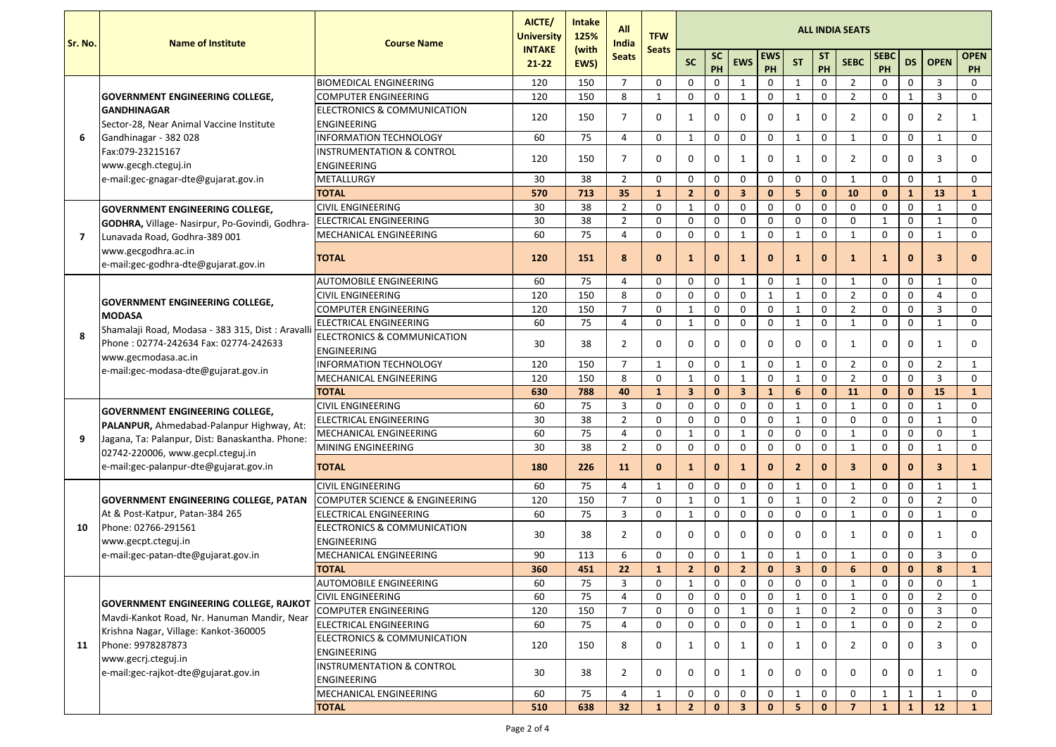| Sr. No. | <b>Name of Institute</b>                                                             | <b>Course Name</b>                                           | AICTE/<br><b>University</b> | <b>Intake</b><br>125% | <b>All</b><br>India<br><b>Seats</b> | <b>TFW</b>     | <b>ALL INDIA SEATS</b>  |                 |                |                  |                |                 |                |                   |                  |                |                          |  |
|---------|--------------------------------------------------------------------------------------|--------------------------------------------------------------|-----------------------------|-----------------------|-------------------------------------|----------------|-------------------------|-----------------|----------------|------------------|----------------|-----------------|----------------|-------------------|------------------|----------------|--------------------------|--|
|         |                                                                                      |                                                              | <b>INTAKE</b><br>$21 - 22$  | (with<br>EWS)         |                                     | <b>Seats</b>   | <b>SC</b>               | <b>SC</b><br>PH | <b>EWS</b>     | <b>EWS</b><br>PH | <b>ST</b>      | <b>ST</b><br>PH | <b>SEBC</b>    | <b>SEBC</b><br>PH | <b>DS</b>        | <b>OPEN</b>    | <b>OPEN</b><br><b>PH</b> |  |
|         |                                                                                      | <b>BIOMEDICAL ENGINEERING</b>                                | 120                         | 150                   | $\overline{7}$                      | $\mathbf 0$    | $\mathbf 0$             | $\mathbf 0$     | 1              | $\mathbf 0$      |                | $\mathbf 0$     | 2              | $\Omega$          | $\mathbf 0$      | 3              | $\mathbf 0$              |  |
|         | <b>GOVERNMENT ENGINEERING COLLEGE,</b>                                               | <b>COMPUTER ENGINEERING</b>                                  | 120                         | 150                   | 8                                   | 1              | $\mathbf 0$             | $\mathbf 0$     | 1              | $\mathbf 0$      | $\mathbf{1}$   | $\mathbf 0$     | $\overline{2}$ | $\mathbf 0$       | $\mathbf{1}$     | $\overline{3}$ | $\mathbf 0$              |  |
|         | <b>GANDHINAGAR</b>                                                                   | <b>ELECTRONICS &amp; COMMUNICATION</b>                       |                             |                       | $\overline{7}$                      |                |                         |                 |                |                  |                |                 |                |                   |                  |                |                          |  |
|         | Sector-28, Near Animal Vaccine Institute                                             | <b>ENGINEERING</b>                                           | 120                         | 150                   |                                     | 0              | 1                       | $\mathbf 0$     | $\mathbf{0}$   | $\mathbf 0$      | $\mathbf{1}$   | $\mathbf{0}$    | $\overline{2}$ | $\mathbf 0$       | $\mathbf 0$      | $\overline{2}$ | $\mathbf{1}$             |  |
| 6       | Gandhinagar - 382 028                                                                | <b>INFORMATION TECHNOLOGY</b>                                | 60                          | 75                    | $\overline{4}$                      | $\mathbf 0$    | -1                      | $\mathbf 0$     | $\mathbf 0$    | $\mathbf 0$      | $\mathbf{1}$   | $\mathbf 0$     | -1             | $\mathbf{0}$      | $\mathbf 0$      | $\mathbf{1}$   | $\mathbf{0}$             |  |
|         | Fax:079-23215167                                                                     | <b>INSTRUMENTATION &amp; CONTROL</b>                         | 120                         | 150                   | $\overline{7}$                      |                |                         |                 |                |                  |                | $\mathbf{0}$    |                |                   |                  |                |                          |  |
|         | www.gecgh.cteguj.in                                                                  | <b>ENGINEERING</b>                                           |                             |                       |                                     | 0              | $\mathbf{0}$            | $\mathbf 0$     | 1              | $\mathbf 0$      | 1              |                 | $\overline{2}$ | $\mathbf 0$       | $\mathbf 0$      | 3              | $\mathbf{0}$             |  |
|         | e-mail:gec-gnagar-dte@gujarat.gov.in                                                 | <b>METALLURGY</b>                                            | 30                          | 38                    | $\overline{2}$                      | $\mathbf{0}$   | $\mathbf 0$             | $\mathbf 0$     | $\mathbf 0$    | $\mathbf 0$      | $\mathbf 0$    | $\mathbf 0$     |                | $\mathbf 0$       | $\mathbf 0$      | -1             | $\mathbf{0}$             |  |
|         |                                                                                      | <b>TOTAL</b>                                                 | 570                         | 713                   | 35                                  | $\mathbf{1}$   | $\overline{2}$          | $\mathbf{0}$    | 3              | $\mathbf{0}$     | 5 <sup>5</sup> | $\bf{0}$        | 10             | $\mathbf{0}$      | $\mathbf{1}$     | 13             | $\mathbf{1}$             |  |
|         | <b>GOVERNMENT ENGINEERING COLLEGE,</b>                                               | <b>CIVIL ENGINEERING</b>                                     | 30                          | 38                    | $\overline{2}$                      | $\overline{0}$ | - 1                     | $\mathbf 0$     | $\overline{0}$ | $\mathbf 0$      | $\overline{0}$ | $\mathbf 0$     | $\mathbf{0}$   | $\mathbf{0}$      | $\mathbf 0$      | -1             | $\mathbf{0}$             |  |
|         | <b>GODHRA, Village- Nasirpur, Po-Govindi, Godhra-</b>                                | ELECTRICAL ENGINEERING                                       | 30                          | 38                    | $\overline{2}$                      | 0              | $\mathbf 0$             | 0               | $\overline{0}$ | $\mathbf 0$      | 0              | $\mathbf 0$     | $\mathbf 0$    | 1                 | $\mathbf 0$      | -1             | $\mathbf 0$              |  |
| 7       | Lunavada Road, Godhra-389 001                                                        | <b>MECHANICAL ENGINEERING</b>                                | 60                          | 75                    | $\overline{4}$                      | $\mathbf 0$    | $\mathbf 0$             | $\mathbf 0$     | $\mathbf 1$    | $\mathbf 0$      | $\mathbf{1}$   | $\pmb{0}$       | $\mathbf{1}$   | $\mathbf 0$       | $\mathbf 0$      | $\mathbf{1}$   | $\mathbf 0$              |  |
|         | www.gecgodhra.ac.in<br>e-mail:gec-godhra-dte@gujarat.gov.in                          | <b>TOTAL</b>                                                 | 120                         | 151                   | 8                                   | $\mathbf{0}$   |                         | $\bf{0}$        |                | $\mathbf{0}$     |                | $\bf{0}$        |                | $\mathbf{1}$      | $\bf{0}$         | 3              | $\bf{0}$                 |  |
|         |                                                                                      | <b>AUTOMOBILE ENGINEERING</b>                                | 60                          | 75                    | $\overline{a}$                      | $\mathbf{0}$   | $\mathbf 0$             | $\mathbf 0$     | $\mathbf 1$    | $\mathbf 0$      | $\mathbf{1}$   | $\mathbf 0$     | -1             | $\mathbf{0}$      | $\mathbf 0$      | $\mathbf{1}$   | $\mathbf{0}$             |  |
| 8       |                                                                                      | <b>CIVIL ENGINEERING</b>                                     | 120                         | 150                   | 8                                   | 0              | $\mathbf 0$             | $\mathbf 0$     | $\mathbf 0$    | $\mathbf{1}$     | $\mathbf{1}$   | $\mathbf 0$     | $\overline{2}$ | $\mathbf 0$       | $\mathbf 0$      | $\overline{4}$ | $\mathbf 0$              |  |
|         | <b>GOVERNMENT ENGINEERING COLLEGE,</b>                                               | <b>COMPUTER ENGINEERING</b>                                  | 120                         | 150                   | $\overline{7}$                      | $\mathbf 0$    | - 1                     | $\mathbf 0$     | $\mathbf 0$    | 0                | $\mathbf{1}$   | $\mathbf 0$     | $\overline{2}$ | $\mathbf 0$       | $\mathbf 0$      | $\overline{3}$ | $\mathbf 0$              |  |
|         | <b>MODASA</b>                                                                        | <b>ELECTRICAL ENGINEERING</b>                                | 60                          | 75                    | $\overline{4}$                      | $\mathbf 0$    | $\mathbf{1}$            | $\mathbf 0$     | $\mathbf 0$    | $\mathbf 0$      | $\mathbf{1}$   | $\pmb{0}$       |                | $\mathbf 0$       | $\mathbf 0$      | $\mathbf 1$    | $\mathbf{0}$             |  |
|         | Shamalaji Road, Modasa - 383 315, Dist : Aravalli                                    | <b>ELECTRONICS &amp; COMMUNICATION</b>                       |                             |                       |                                     |                |                         |                 |                |                  |                |                 |                |                   |                  |                |                          |  |
|         | Phone: 02774-242634 Fax: 02774-242633                                                | <b>ENGINEERING</b>                                           | 30                          | 38                    | $\overline{2}$                      | 0              | $\Omega$                | $\mathbf 0$     | $\Omega$       | $\mathbf{0}$     | 0              | 0               |                | $\mathbf 0$       | 0                | -1             | $\mathbf{0}$             |  |
|         | www.gecmodasa.ac.in<br>e-mail:gec-modasa-dte@gujarat.gov.in                          | <b>INFORMATION TECHNOLOGY</b>                                | 120                         | 150                   | $\overline{7}$                      |                | $\mathbf 0$             | $\mathbf 0$     | 1              | 0                | 1              | $\pmb{0}$       | $\overline{2}$ | $\mathbf 0$       | $\mathbf 0$      | $\overline{2}$ | $\mathbf{1}$             |  |
|         |                                                                                      | <b>MECHANICAL ENGINEERING</b>                                | 120                         | 150                   | 8                                   | $\mathbf 0$    | $\mathbf 1$             | $\mathbf 0$     | 1              | $\mathbf 0$      | $\mathbf{1}$   | $\mathbf 0$     | $\overline{2}$ | $\mathbf 0$       | $\mathbf 0$      | $\overline{3}$ | $\mathbf 0$              |  |
|         |                                                                                      | <b>TOTAL</b>                                                 | 630                         | 788                   | 40                                  | $\mathbf{1}$   | $\overline{\mathbf{3}}$ | $\mathbf{0}$    | 3 <sup>2</sup> | $\mathbf{1}$     | 6              | $\mathbf 0$     | <b>11</b>      | $\mathbf{0}$      | $\mathbf 0$      | 15             | $\mathbf{1}$             |  |
|         |                                                                                      | <b>CIVIL ENGINEERING</b>                                     | 60                          | 75                    | 3                                   | $\Omega$       | $\Omega$                | $\mathbf{0}$    | $\Omega$       | $\mathbf 0$      |                | $\Omega$        |                | $\Omega$          | $\Omega$         |                | $\Omega$                 |  |
|         | <b>JGOVERNMENT ENGINEERING COLLEGE,</b><br>PALANPUR, Ahmedabad-Palanpur Highway, At: | ELECTRICAL ENGINEERING                                       | 30                          | 38                    | $\overline{2}$                      | $\mathbf{0}$   | $\mathbf{0}$            | $\mathbf{0}$    | $\mathbf{0}$   | $\mathbf 0$      | $\overline{1}$ | $\mathbf{0}$    | $\Omega$       | $\mathbf{0}$      | $\mathbf{0}$     | -1             | $\overline{0}$           |  |
| 9       | Jagana, Ta: Palanpur, Dist: Banaskantha. Phone:                                      | MECHANICAL ENGINEERING                                       | 60                          | 75                    | $\overline{4}$                      | 0              |                         | $\mathbf 0$     | 1              | $\mathbf 0$      | $\overline{0}$ |                 |                | $\mathbf 0$       |                  | $\mathbf 0$    | $\mathbf{1}$             |  |
|         | 02742-220006, www.gecpl.cteguj.in                                                    | <b>MINING ENGINEERING</b>                                    | 30                          | 38                    | $\overline{2}$                      | 0              | $\mathbf 0$             | $\bf{0}$        | $\mathbf 0$    | 0                | $\mathbf{0}$   | $\pmb{0}$       |                | $\mathbf 0$       | $\mathbf 0$      | $\mathbf{1}$   | $\mathbf 0$              |  |
|         | e-mail: gec-palanpur-dte@gujarat.gov.in                                              | <b>TOTAL</b>                                                 | 180                         | 226                   | 11                                  | $\mathbf{0}$   | -1                      | $\mathbf{0}$    | 1              | $\mathbf{0}$     | $\mathbf{2}$   | 0               | 3              | $\mathbf{0}$      | $\bf{0}$         | 3              | $\mathbf{1}$             |  |
|         |                                                                                      | <b>CIVIL ENGINEERING</b>                                     | 60                          | 75                    | $\overline{4}$                      |                | $\mathbf 0$             | $\mathbf 0$     | $\mathbf{0}$   | $\mathbf 0$      |                | $\overline{0}$  |                | $\mathbf 0$       | $\mathbf 0$      |                | $\mathbf{1}$             |  |
|         | <b>GOVERNMENT ENGINEERING COLLEGE, PATAN</b>                                         | <b>COMPUTER SCIENCE &amp; ENGINEERING</b>                    | 120                         | 150                   | $\overline{7}$                      | 0              | $\lceil$                | $\mathbf 0$     | 1              | $\overline{0}$   |                | $\mathbf 0$     | $\overline{2}$ | $\mathbf 0$       | $\mathbf 0$      | $\overline{2}$ | $\mathbf 0$              |  |
|         | At & Post-Katpur, Patan-384 265                                                      | <b>ELECTRICAL ENGINEERING</b>                                | 60                          | 75                    | $\overline{3}$                      | $\mathbf 0$    |                         | $\mathbf 0$     | $\mathbf 0$    | $\mathbf 0$      | $\overline{0}$ | $\mathbf 0$     |                | $\mathbf{0}$      | $\mathbf 0$      | $\mathbf{1}$   | $\mathbf 0$              |  |
| 10      | Phone: 02766-291561<br>www.gecpt.cteguj.in                                           | ELECTRONICS & COMMUNICATION<br><b>ENGINEERING</b>            | 30                          | 38                    | $\overline{2}$                      | 0              | $\mathbf 0$             | $\mathbf 0$     | $\Omega$       | $\mathbf{0}$     | 0              | $\Omega$        |                | $\mathbf 0$       | $\Omega$         |                | $\Omega$                 |  |
|         | e-mail: gec-patan-dte@gujarat.gov.in                                                 | MECHANICAL ENGINEERING                                       | 90                          | 113                   | 6                                   | $\mathbf 0$    | $\mathbf 0$             | $\mathbf 0$     | 1              | $\mathbf 0$      |                | $\mathbf{0}$    |                | $\mathbf{0}$      | $\Omega$         | $\overline{3}$ | $\mathbf{0}$             |  |
|         |                                                                                      | <b>TOTAL</b>                                                 | 360                         | 451                   | 22                                  | $\mathbf{1}$   | $\overline{2}$          | $\mathbf{0}$    | $\overline{2}$ | $\mathbf{0}$     | 3 <sup>1</sup> | $\mathbf 0$     | 6              | $\mathbf{0}$      | $\mathbf{0}$     | 8              | $\mathbf{1}$             |  |
|         |                                                                                      | <b>AUTOMOBILE ENGINEERING</b>                                | 60                          | 75                    | $\overline{3}$                      | $\mathbf 0$    | - 1                     | $\mathbf 0$     | $\mathbf{0}$   | $\mathbf{0}$     | 0              | $\mathbf 0$     |                | $\mathbf 0$       | $\boldsymbol{0}$ | $\mathbf 0$    | $\mathbf{1}$             |  |
|         |                                                                                      | <b>CIVIL ENGINEERING</b>                                     | 60                          | 75                    | $\overline{4}$                      | 0              | $\mathbf 0$             | $\mathbf 0$     | $\mathbf{0}$   | $\mathbf 0$      |                | $\overline{0}$  |                | $\mathbf 0$       | $\mathbf 0$      | $\overline{2}$ | $\mathbf 0$              |  |
|         | <b>GOVERNMENT ENGINEERING COLLEGE, RAJKOT</b>                                        | <b>COMPUTER ENGINEERING</b>                                  | 120                         | 150                   | $\overline{7}$                      | $\overline{0}$ | $\overline{0}$          | $\mathbf 0$     | 1              | $\mathbf 0$      | $\overline{1}$ | $\mathbf 0$     | $\overline{2}$ | $\mathbf{0}$      | $\mathbf{0}$     | $\overline{3}$ | $\mathbf{0}$             |  |
|         | Mavdi-Kankot Road, Nr. Hanuman Mandir, Near                                          | <b>ELECTRICAL ENGINEERING</b>                                | 60                          | 75                    | $\overline{4}$                      | 0              | $\mathbf 0$             | $\mathbf 0$     | $\mathbf{0}$   | $\mathbf 0$      |                | $\mathbf 0$     |                | $\mathbf{0}$      |                  | $\overline{2}$ | $\mathbf 0$              |  |
| 11      | Krishna Nagar, Village: Kankot-360005<br>Phone: 9978287873                           | <b>ELECTRONICS &amp; COMMUNICATION</b><br><b>ENGINEERING</b> | 120                         | 150                   | 8                                   | 0              | -1                      | $\mathbf{0}$    | -1             | $\mathbf{0}$     | -1             | $\mathbf 0$     | $\overline{2}$ | $\mathbf 0$       | $\mathbf{0}$     | -3             | $\Omega$                 |  |
|         | www.gecrj.cteguj.in<br>e-mail: gec-rajkot-dte@gujarat.gov.in                         | <b>INSTRUMENTATION &amp; CONTROL</b><br><b>ENGINEERING</b>   | 30                          | 38                    | $\overline{2}$                      | 0              | $\mathbf{0}$            | $\mathbf 0$     | 1              | $\mathbf 0$      | $\mathbf{0}$   | $\Omega$        | $\Omega$       | $\mathbf 0$       | $\mathbf 0$      | -1             | 0                        |  |
|         |                                                                                      | MECHANICAL ENGINEERING                                       | 60                          | 75                    | 4                                   |                | $\mathbf 0$             | $\mathbf 0$     | $\mathbf 0$    | $\mathbf 0$      |                | $\pmb{0}$       | $\mathbf 0$    | $\mathbf{1}$      | $\mathbf{1}$     | 1              | $\mathbf 0$              |  |
|         |                                                                                      | <b>TOTAL</b>                                                 | 510                         | 638                   | 32                                  | $\mathbf 1$    | $\overline{2}$          | $\mathbf{0}$    | $\mathbf{3}$   | $\mathbf{0}$     | 5 <sup>1</sup> | $\mathbf 0$     | $\overline{7}$ | $\mathbf{1}$      | $\mathbf{1}$     | 12             | $\mathbf{1}$             |  |
|         |                                                                                      |                                                              |                             |                       |                                     |                |                         |                 |                |                  |                |                 |                |                   |                  |                |                          |  |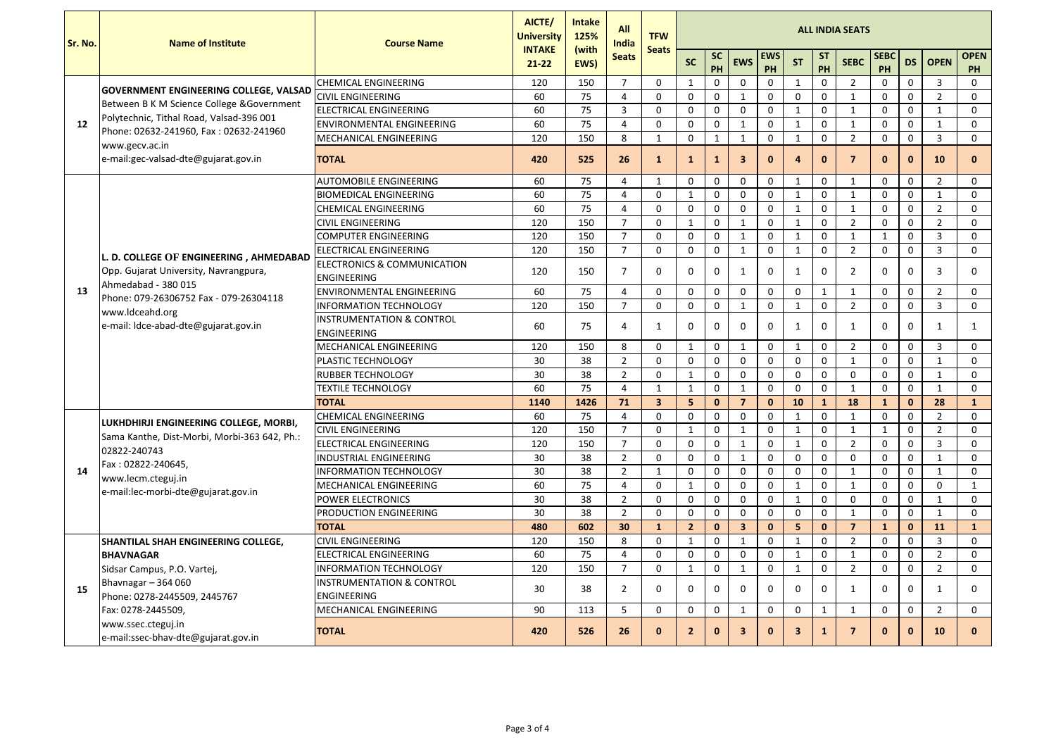| <b>Sr. No.</b> | <b>Name of Institute</b>                                                                                                                                                                                     | <b>Course Name</b>                                           | AICTE/<br><b>University</b> | <b>Intake</b><br>125% | <b>All</b><br><b>India</b> | <b>TFW</b>     |                |                 |              |                  |                         |                  | <b>ALL INDIA SEATS</b> |                   |              |                |                          |
|----------------|--------------------------------------------------------------------------------------------------------------------------------------------------------------------------------------------------------------|--------------------------------------------------------------|-----------------------------|-----------------------|----------------------------|----------------|----------------|-----------------|--------------|------------------|-------------------------|------------------|------------------------|-------------------|--------------|----------------|--------------------------|
|                |                                                                                                                                                                                                              |                                                              | <b>INTAKE</b><br>$21 - 22$  | (with<br>EWS)         | <b>Seats</b>               | <b>Seats</b>   | <b>SC</b>      | <b>SC</b><br>PH | <b>EWS</b>   | <b>EWS</b><br>PH | <b>ST</b>               | <b>ST</b><br>PH  | <b>SEBC</b>            | <b>SEBC</b><br>PH | <b>DS</b>    | <b>OPEN</b>    | <b>OPEN</b><br><b>PH</b> |
|                | <b>GOVERNMENT ENGINEERING COLLEGE, VALSAD</b>                                                                                                                                                                | <b>CHEMICAL ENGINEERING</b>                                  | 120                         | 150                   | $\overline{7}$             | $\overline{0}$ | -1             | $\Omega$        | $\Omega$     | $\mathbf 0$      | 1                       | $\mathbf 0$      | $\overline{2}$         | $\mathbf 0$       | $\mathbf 0$  | 3              | $\mathbf 0$              |
|                | Between B K M Science College & Government                                                                                                                                                                   | <b>CIVIL ENGINEERING</b>                                     | 60                          | 75                    | $\overline{4}$             | 0              | $\mathbf 0$    | $\mathbf 0$     | 1            | $\mathbf 0$      | $\overline{0}$          | $\mathbf 0$      | -1                     | $\mathbf{0}$      | $\mathbf 0$  | $\overline{2}$ | $\mathbf 0$              |
|                | Polytechnic, Tithal Road, Valsad-396 001                                                                                                                                                                     | <b>ELECTRICAL ENGINEERING</b>                                | 60                          | 75                    | $\overline{3}$             | $\mathbf 0$    | $\mathbf 0$    | $\mathbf 0$     | $\mathbf 0$  | $\mathbf{0}$     | $\mathbf{1}$            | $\pmb{0}$        |                        | $\mathbf 0$       | $\mathbf 0$  | 1              | $\mathbf 0$              |
| 12             | Phone: 02632-241960, Fax: 02632-241960                                                                                                                                                                       | <b>IENVIRONMENTAL ENGINEERING</b>                            | 60                          | 75                    | $\overline{4}$             | $\mathbf{0}$   | $\mathbf 0$    | $\mathbf 0$     | 1            | $\mathbf 0$      | $\mathbf{1}$            | $\mathbf 0$      | -1                     | $\mathbf 0$       | $\mathbf 0$  | $\mathbf{1}$   | $\mathbf 0$              |
|                | www.gecv.ac.in                                                                                                                                                                                               | <b>MECHANICAL ENGINEERING</b>                                | 120                         | 150                   | 8                          | 1              | $\mathbf 0$    |                 | 1            | $\mathbf 0$      | $\mathbf{1}$            | $\mathbf 0$      | $\overline{2}$         | $\mathbf 0$       | $\mathbf 0$  | $\overline{3}$ | $\mathbf 0$              |
|                | e-mail: gec-valsad-dte@gujarat.gov.in                                                                                                                                                                        | <b>TOTAL</b>                                                 | 420                         | 525                   | 26                         | $\mathbf{1}$   | 1              | $\mathbf{1}$    | $\mathbf{3}$ | $\mathbf{0}$     | 4                       | $\bf{0}$         | -7                     | $\mathbf{0}$      | $\mathbf 0$  | <b>10</b>      | $\mathbf{0}$             |
|                |                                                                                                                                                                                                              | <b>AUTOMOBILE ENGINEERING</b>                                | 60                          | 75                    | 4                          | $\mathbf{1}$   | $\overline{0}$ | $\mathbf{0}$    | $\mathbf{0}$ | $\mathbf 0$      | $\mathbf{1}$            | $\mathbf 0$      | $\overline{1}$         | $\mathbf{0}$      | $\mathbf 0$  | $\overline{2}$ | $\mathbf 0$              |
|                |                                                                                                                                                                                                              | BIOMEDICAL ENGINEERING                                       | 60                          | 75                    | $\overline{4}$             | $\mathbf{0}$   | -1             | $\mathbf{0}$    | $\mathbf{0}$ | $\mathbf 0$      | -1                      | $\mathbf 0$      |                        | $\mathbf 0$       | $\mathbf 0$  | -1             | $\mathbf 0$              |
|                |                                                                                                                                                                                                              | <b>CHEMICAL ENGINEERING</b>                                  | 60                          | 75                    | $\overline{4}$             | $\mathbf 0$    | $\mathbf 0$    | $\mathbf 0$     | $\mathbf 0$  | $\mathbf 0$      | $\mathbf{1}$            | $\pmb{0}$        | -1                     | $\mathbf 0$       | $\mathbf 0$  | $\overline{2}$ | $\mathbf 0$              |
|                |                                                                                                                                                                                                              | <b>CIVIL ENGINEERING</b>                                     | 120                         | 150                   | $\overline{7}$             | $\mathbf 0$    | -1             | $\mathbf 0$     | 1            | $\mathbf 0$      | $\mathbf{1}$            | $\mathbf 0$      | $\overline{2}$         | $\mathbf 0$       | $\mathbf 0$  | $\overline{2}$ | $\mathbf 0$              |
|                |                                                                                                                                                                                                              | <b>COMPUTER ENGINEERING</b>                                  | 120                         | 150                   | $\overline{7}$             | $\mathbf 0$    | $\mathbf 0$    | $\mathbf 0$     | -1           | $\mathbf 0$      | $\mathbf 1$             | $\mathbf 0$      | -1                     | $\mathbf{1}$      | $\mathbf 0$  | $\overline{3}$ | $\mathbf 0$              |
|                | L. D. COLLEGE OF ENGINEERING, AHMEDABAD<br>Opp. Gujarat University, Navrangpura,<br>Ahmedabad - 380 015<br>Phone: 079-26306752 Fax - 079-26304118<br>www.ldceahd.org<br>e-mail: Idce-abad-dte@gujarat.gov.in | <b>ELECTRICAL ENGINEERING</b>                                | 120                         | 150                   | $\overline{7}$             | $\mathbf 0$    | $\mathbf 0$    | $\mathbf 0$     | 1            | $\mathbf 0$      | $\mathbf 1$             | $\mathbf 0$      | $\overline{2}$         | $\mathbf{0}$      | $\mathbf 0$  | $\overline{3}$ | $\mathbf 0$              |
| 13             |                                                                                                                                                                                                              | <b>ELECTRONICS &amp; COMMUNICATION</b><br><b>ENGINEERING</b> | 120                         | 150                   | $\overline{7}$             | $\Omega$       | $\Omega$       | $\mathbf{0}$    | -1           | $\Omega$         | -1                      | $\mathbf 0$      | 2                      | $\mathbf{0}$      | $\mathbf{0}$ | -3             | $\Omega$                 |
|                |                                                                                                                                                                                                              | <b>ENVIRONMENTAL ENGINEERING</b>                             | 60                          | 75                    | $\overline{4}$             | $\mathbf 0$    | $\mathbf 0$    | $\mathbf 0$     | $\mathbf{0}$ | $\mathbf{0}$     | $\mathbf 0$             | $\mathbf{1}$     | -1                     | $\mathbf 0$       | $\mathbf 0$  | $\overline{2}$ | $\mathbf 0$              |
|                |                                                                                                                                                                                                              | <b>INFORMATION TECHNOLOGY</b>                                | 120                         | 150                   | $\overline{7}$             | $\mathbf 0$    | $\mathbf 0$    | $\mathbf 0$     | 1            | $\mathbf 0$      |                         | $\mathbf 0$      | $\overline{2}$         | $\mathbf 0$       | $\mathbf 0$  | $\overline{3}$ | $\mathbf 0$              |
|                |                                                                                                                                                                                                              | <b>INSTRUMENTATION &amp; CONTROL</b><br><b>ENGINEERING</b>   | 60                          | 75                    | $\overline{4}$             | -1             | $\overline{0}$ | $\mathbf{0}$    | $\mathbf{0}$ | $\mathbf 0$      | -1                      | $\mathbf 0$      |                        | $\mathbf 0$       | $\mathbf 0$  | -1             | 1                        |
|                |                                                                                                                                                                                                              | <b>MECHANICAL ENGINEERING</b>                                | 120                         | 150                   | 8                          | $\mathbf 0$    | -1             | $\mathbf 0$     | 1            | $\mathbf 0$      | $\mathbf{1}$            | $\pmb{0}$        | $\overline{2}$         | $\mathbf 0$       | $\mathbf 0$  | 3              | $\mathbf 0$              |
|                |                                                                                                                                                                                                              | <b>PLASTIC TECHNOLOGY</b>                                    | 30                          | 38                    | $\overline{2}$             | $\mathbf 0$    | $\mathbf 0$    | $\mathbf 0$     | $\mathbf 0$  | $\mathbf{0}$     | $\mathbf 0$             | $\pmb{0}$        | $\mathbf{1}$           | $\mathbf 0$       | $\mathbf 0$  | $\mathbf{1}$   | $\mathbf 0$              |
|                |                                                                                                                                                                                                              | <b>RUBBER TECHNOLOGY</b>                                     | 30                          | 38                    | $\overline{2}$             | 0              | 1              | $\mathbf 0$     | $\mathbf{0}$ | $\mathbf 0$      | $\mathbf{0}$            | $\mathbf 0$      | $\overline{0}$         | $\mathbf 0$       | $\mathbf 0$  | 1              | $\mathbf 0$              |
|                |                                                                                                                                                                                                              | <b>TEXTILE TECHNOLOGY</b>                                    | 60                          | 75                    | 4                          | 1              | -1             | $\mathbf 0$     | -1           | $\mathbf 0$      | $\mathbf{0}$            | $\mathbf 0$      | -1                     | $\mathbf 0$       | $\mathbf 0$  | -1             | $\mathbf 0$              |
|                |                                                                                                                                                                                                              | <b>TOTAL</b>                                                 | 1140                        | 1426                  | 71                         | $\mathbf{3}$   | 5              | $\mathbf 0$     | 7            | $\mathbf{0}$     | 10                      | $\mathbf{1}$     | 18                     | $\mathbf{1}$      | $\mathbf 0$  | 28             | $\mathbf{1}$             |
|                | LUKHDHIRJI ENGINEERING COLLEGE, MORBI,                                                                                                                                                                       | <b>CHEMICAL ENGINEERING</b>                                  | 60                          | 75                    | 4                          | 0              | $\overline{0}$ | 0               | $\mathbf 0$  | 0                | 1                       | $\boldsymbol{0}$ |                        | 0                 | $\mathbf 0$  | $\overline{2}$ | $\mathbf 0$              |
|                | Sama Kanthe, Dist-Morbi, Morbi-363 642, Ph.:                                                                                                                                                                 | <b>CIVIL ENGINEERING</b>                                     | 120                         | 150                   | $\overline{7}$             | $\overline{0}$ | 1              | $\mathbf 0$     | $\mathbf{1}$ | $\mathbf 0$      | $\mathbf{1}$            | $\mathbf 0$      | $\mathbf 1$            | $\mathbf{1}$      | $\mathbf 0$  | $\overline{2}$ | $\mathbf 0$              |
|                | 02822-240743                                                                                                                                                                                                 | <b>ELECTRICAL ENGINEERING</b>                                | 120                         | 150                   | $\overline{7}$             | $\mathbf 0$    | $\mathbf 0$    | $\mathbf 0$     | 1            | $\mathbf{0}$     | $\mathbf{1}$            | $\pmb{0}$        | $\overline{2}$         | $\mathbf 0$       | $\mathbf 0$  | $\overline{3}$ | $\mathbf 0$              |
|                | Fax: 02822-240645,                                                                                                                                                                                           | <b>INDUSTRIAL ENGINEERING</b>                                | 30                          | 38                    | $\overline{2}$             | $\mathbf{0}$   | $\mathbf 0$    | $\mathbf 0$     | $\mathbf{1}$ | $\mathbf 0$      | $\overline{0}$          | $\mathbf 0$      | $\mathbf 0$            | $\mathbf 0$       | $\mathbf 0$  | $\mathbf{1}$   | $\mathbf 0$              |
| 14             | www.lecm.cteguj.in                                                                                                                                                                                           | <b>INFORMATION TECHNOLOGY</b>                                | 30                          | 38                    | $\overline{2}$             |                | $\Omega$       | $\mathbf{0}$    | $\mathbf{0}$ | $\mathbf{0}$     | $\mathbf{0}$            | $\mathbf 0$      |                        | $\mathbf 0$       | $\mathbf{0}$ | -1             | $\Omega$                 |
|                | e-mail:lec-morbi-dte@gujarat.gov.in                                                                                                                                                                          | MECHANICAL ENGINEERING                                       | 60                          | 75                    | $\overline{4}$             | $\mathbf{0}$   | -1             | $\mathbf 0$     | $\mathbf 0$  | $\mathbf{0}$     | $\mathbf{1}$            | $\pmb{0}$        | $\mathbf{1}$           | $\mathbf 0$       | $\mathbf 0$  | $\mathbf{0}$   | $\mathbf{1}$             |
|                |                                                                                                                                                                                                              | <b>POWER ELECTRONICS</b>                                     | 30                          | 38                    | $\overline{2}$             | $\mathbf{0}$   | $\mathbf 0$    | $\mathbf 0$     | $\mathbf{0}$ | $\mathbf 0$      | $\mathbf{1}$            | $\pmb{0}$        | $\mathbf 0$            | $\mathbf 0$       | $\mathbf 0$  | $\mathbf{1}$   | $\mathbf 0$              |
|                |                                                                                                                                                                                                              | <b>PRODUCTION ENGINEERING</b>                                | 30                          | 38                    | $\overline{2}$             | $\mathbf 0$    | $\overline{0}$ | $\mathbf 0$     | $\mathbf{0}$ | $\mathbf{0}$     | 0                       | $\pmb{0}$        |                        | $\mathbf 0$       | $\mathbf 0$  | -1             | $\mathbf 0$              |
|                |                                                                                                                                                                                                              | <b>TOTAL</b>                                                 | 480                         | 602                   | 30                         | $\mathbf{1}$   | $\overline{2}$ | $\mathbf{0}$    | $\mathbf{3}$ | $\mathbf{0}$     | 5 <sup>1</sup>          | $\mathbf{0}$     | 7                      | $\mathbf{1}$      | $\mathbf 0$  | 11             | $\mathbf{1}$             |
|                | <b>SHANTILAL SHAH ENGINEERING COLLEGE,</b>                                                                                                                                                                   | <b>CIVIL ENGINEERING</b>                                     | 120                         | 150                   | 8                          | $\mathbf{0}$   | -1             | $\mathbf{0}$    | -1           | $\mathbf 0$      |                         | $\mathbf 0$      | $\overline{2}$         | $\mathbf{0}$      | $\mathbf 0$  | $\overline{3}$ | $\mathbf{0}$             |
|                | <b>BHAVNAGAR</b>                                                                                                                                                                                             | <b>ELECTRICAL ENGINEERING</b>                                | 60                          | 75                    | $\overline{4}$             | $\mathbf 0$    | $\mathbf 0$    | $\mathbf 0$     | $\mathbf 0$  | $\mathbf 0$      | $\mathbf{1}$            | $\pmb{0}$        | -1                     | $\mathbf 0$       | $\mathbf 0$  | $\overline{2}$ | $\mathbf 0$              |
|                | Sidsar Campus, P.O. Vartej,                                                                                                                                                                                  | <b>INFORMATION TECHNOLOGY</b>                                | 120                         | 150                   | $\overline{7}$             | $\overline{0}$ | 1              | $\mathbf 0$     | $\mathbf 1$  | $\mathbf 0$      | $\mathbf{1}$            | $\mathbf 0$      | $\overline{2}$         | $\mathbf 0$       | $\mathbf 0$  | $\overline{2}$ | $\mathbf 0$              |
| 15             | Bhavnagar - 364 060                                                                                                                                                                                          | <b>INSTRUMENTATION &amp; CONTROL</b>                         | 30                          | 38                    | $\overline{2}$             | $\mathbf 0$    | $\Omega$       | 0               | $\mathbf 0$  | $\mathbf{0}$     | 0                       | $\mathbf{0}$     |                        | $\mathbf 0$       | $\Omega$     | -1             | $\mathbf 0$              |
|                | Phone: 0278-2445509, 2445767                                                                                                                                                                                 | <b>ENGINEERING</b>                                           |                             |                       |                            |                |                |                 |              |                  |                         |                  |                        |                   |              |                |                          |
|                | Fax: 0278-2445509,                                                                                                                                                                                           | MECHANICAL ENGINEERING                                       | 90                          | 113                   | 5                          | $\mathbf{0}$   | $\mathbf 0$    | $\mathbf{0}$    | -1           | $\mathbf 0$      | 0                       | $\mathbf{1}$     |                        | $\mathbf 0$       | $\mathbf{0}$ | $\overline{2}$ | $\mathbf 0$              |
|                | www.ssec.cteguj.in<br>e-mail:ssec-bhav-dte@gujarat.gov.in                                                                                                                                                    | <b>TOTAL</b>                                                 | 420                         | 526                   | 26                         | $\mathbf{0}$   | $\overline{2}$ | $\mathbf 0$     | $\mathbf{3}$ | $\mathbf{0}$     | $\overline{\mathbf{3}}$ | $\mathbf{1}$     |                        | $\mathbf{0}$      | $\bf{0}$     | <b>10</b>      | $\mathbf{0}$             |